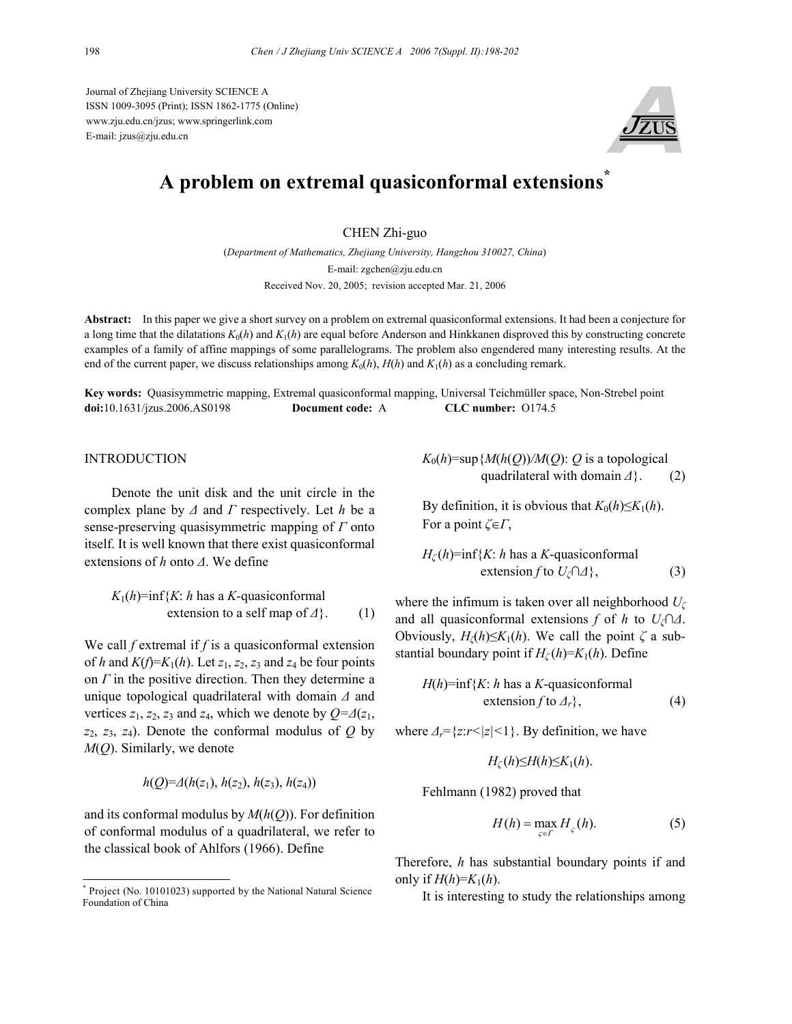Journal of Zhejiang University SCIENCE A ISSN 1009-3095 (Print); ISSN 1862-1775 (Online) www.zju.edu.cn/jzus; www.springerlink.com E-mail: jzus@zju.edu.cn



# **A problem on extremal quasiconformal extensions\***

CHEN Zhi-guo

(*Department of Mathematics, Zhejiang University, Hangzhou 310027, China*) E-mail: zgchen@zju.edu.cn Received Nov. 20, 2005; revision accepted Mar. 21, 2006

**Abstract:** In this paper we give a short survey on a problem on extremal quasiconformal extensions. It had been a conjecture for a long time that the dilatations  $K_0(h)$  and  $K_1(h)$  are equal before Anderson and Hinkkanen disproved this by constructing concrete examples of a family of affine mappings of some parallelograms. The problem also engendered many interesting results. At the end of the current paper, we discuss relationships among  $K_0(h)$ ,  $H(h)$  and  $K_1(h)$  as a concluding remark.

**Key words:** Quasisymmetric mapping, Extremal quasiconformal mapping, Universal Teichmüller space, Non-Strebel point **doi:**10.1631/jzus.2006.AS0198 **Document code:** A **CLC number:** O174.5

# **INTRODUCTION**

Denote the unit disk and the unit circle in the complex plane by *∆* and *Γ* respectively. Let *h* be a sense-preserving quasisymmetric mapping of *Γ* onto itself. It is well known that there exist quasiconformal extensions of *h* onto *∆*. We define

$$
K_1(h)=\inf\{K: h \text{ has a } K\text{-quasiconformal} \text{ extension to a self map of } \Delta\}.
$$
 (1)

We call *f* extremal if *f* is a quasiconformal extension of *h* and  $K(f)=K_1(h)$ . Let  $z_1, z_2, z_3$  and  $z_4$  be four points on *Γ* in the positive direction. Then they determine a unique topological quadrilateral with domain *∆* and vertices  $z_1$ ,  $z_2$ ,  $z_3$  and  $z_4$ , which we denote by  $Q = \Delta(z_1)$ , *z*2, *z*3, *z*4). Denote the conformal modulus of *Q* by *M*(*Q*). Similarly, we denote

$$
h(Q)=A(h(z_1), h(z_2), h(z_3), h(z_4))
$$

and its conformal modulus by *M*(*h*(*Q*)). For definition of conformal modulus of a quadrilateral, we refer to the classical book of Ahlfors (1966). Define

 $K_0(h)$ =sup ${M(h(Q))/M(Q)}$ : *Q* is a topological quadrilateral with domain *∆*}. (2)

By definition, it is obvious that  $K_0(h) \leq K_1(h)$ . For a point *ζ*∈*Γ*,

$$
H_{\zeta}(h)=\inf\{K: h \text{ has a } K\text{-quasiconformal} \text{ extension } f \text{ to } U_{\zeta} \cap \Delta\},\tag{3}
$$

where the infimum is taken over all neighborhood *U<sup>ζ</sup>* and all quasiconformal extensions *f* of *h* to *Uζ*∩*∆*. Obviously,  $H_\zeta(h) \leq K_1(h)$ . We call the point  $\zeta$  a substantial boundary point if  $H_\zeta(h)=K_1(h)$ . Define

$$
H(h)=\inf\{K: h \text{ has a } K\text{-quasiconformal} \text{ extension } f \text{ to } \Delta_r\},\tag{4}
$$

where *∆r*={*z*:*r<|z|<*1}. By definition, we have

$$
H_{\zeta}(h) \leq H(h) \leq K_1(h).
$$

Fehlmann (1982) proved that

$$
H(h) = \max_{\varsigma \in \Gamma} H_{\varsigma}(h). \tag{5}
$$

Therefore, *h* has substantial boundary points if and only if  $H(h)=K_1(h)$ .

It is interesting to study the relationships among

<sup>\*</sup> Project (No. 10101023) supported by the National Natural Science Foundation of China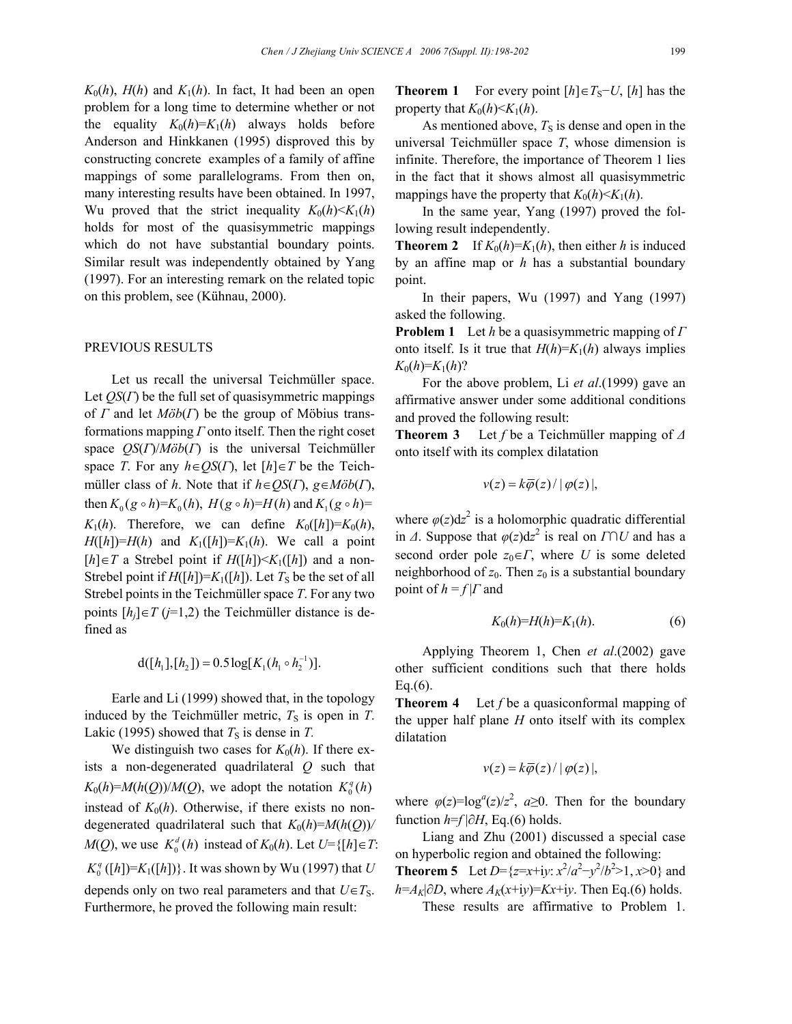$K_0(h)$ ,  $H(h)$  and  $K_1(h)$ . In fact, It had been an open problem for a long time to determine whether or not the equality  $K_0(h)=K_1(h)$  always holds before Anderson and Hinkkanen (1995) disproved this by constructing concrete examples of a family of affine mappings of some parallelograms. From then on, many interesting results have been obtained. In 1997, Wu proved that the strict inequality  $K_0(h) \le K_1(h)$ holds for most of the quasisymmetric mappings which do not have substantial boundary points. Similar result was independently obtained by Yang (1997). For an interesting remark on the related topic on this problem, see (Kühnau, 2000).

## PREVIOUS RESULTS

Let us recall the universal Teichmüller space. Let *QS*(*Γ*) be the full set of quasisymmetric mappings of *Γ* and let *Möb*(*Γ*) be the group of Möbius transformations mapping *Γ* onto itself. Then the right coset space *QS*(*Γ*)/*Möb*(*Γ*) is the universal Teichmüller space *T*. For any *h*∈*QS*(*Γ*), let [*h*]∈*T* be the Teichmüller class of *h*. Note that if *h*∈*QS*(*Γ*), *g*∈*Möb*(*Γ*), then  $K_0 (g \circ h)=K_0(h)$ ,  $H(g \circ h)=H(h)$  and  $K_1 (g \circ h)=$  $K_1(h)$ . Therefore, we can define  $K_0([h])=K_0(h)$ ,  $H([h])=H(h)$  and  $K_1([h])=K_1(h)$ . We call a point [*h*]∈*T* a Strebel point if *H*([*h*]) <*K*<sub>1</sub>([*h*]) and a non-Strebel point if  $H([h])=K_1([h])$ . Let  $T_S$  be the set of all Strebel points in the Teichmüller space *T*. For any two points  $[h_i] \in T$  ( $j=1,2$ ) the Teichmüller distance is defined as

$$
d([h_1],[h_2])=0.5\log[K_1(h_1\circ h_2^{-1})].
$$

Earle and Li (1999) showed that, in the topology induced by the Teichmüller metric,  $T<sub>S</sub>$  is open in  $T$ . Lakic (1995) showed that  $T<sub>S</sub>$  is dense in *T*.

We distinguish two cases for  $K_0(h)$ . If there exists a non-degenerated quadrilateral *Q* such that  $K_0(h) = M(h(Q))/M(Q)$ , we adopt the notation  $K_0^q(h)$ instead of  $K_0(h)$ . Otherwise, if there exists no nondegenerated quadrilateral such that  $K_0(h)=M(h(Q))/$ *M*(*Q*), we use  $K_0^d(h)$  instead of  $K_0(h)$ . Let  $U=\{[h]\in T:$  $K_0^q([h]) = K_1([h])$ }. It was shown by Wu (1997) that *U* depends only on two real parameters and that  $U \in T_S$ . Furthermore, he proved the following main result:

**Theorem 1** For every point  $[h] \in T_S - U$ ,  $[h]$  has the property that  $K_0(h) \leq K_1(h)$ .

As mentioned above,  $T<sub>S</sub>$  is dense and open in the universal Teichmüller space *T*, whose dimension is infinite. Therefore, the importance of Theorem 1 lies in the fact that it shows almost all quasisymmetric mappings have the property that  $K_0(h) \le K_1(h)$ .

In the same year, Yang (1997) proved the following result independently.

**Theorem 2** If  $K_0(h)=K_1(h)$ , then either *h* is induced by an affine map or *h* has a substantial boundary point.

In their papers, Wu (1997) and Yang (1997) asked the following.

**Problem 1** Let *h* be a quasisymmetric mapping of *Γ* onto itself. Is it true that  $H(h)=K_1(h)$  always implies  $K_0(h)=K_1(h)$ ?

For the above problem, Li *et al*.(1999) gave an affirmative answer under some additional conditions and proved the following result:

**Theorem 3** Let *f* be a Teichmüller mapping of *∆* onto itself with its complex dilatation

$$
v(z) = k\overline{\varphi}(z) / |\varphi(z)|,
$$

where  $\varphi(z)dz^2$  is a holomorphic quadratic differential in *∆*. Suppose that  $\varphi(z)dz^2$  is real on *Γ*∩*U* and has a second order pole  $z_0 \in \Gamma$ , where *U* is some deleted neighborhood of  $z_0$ . Then  $z_0$  is a substantial boundary point of  $h = f | \Gamma$  and

$$
K_0(h)=H(h)=K_1(h).
$$
 (6)

Applying Theorem 1, Chen *et al*.(2002) gave other sufficient conditions such that there holds  $Eq.(6)$ .

**Theorem 4** Let *f* be a quasiconformal mapping of the upper half plane *H* onto itself with its complex dilatation

$$
v(z) = k\overline{\varphi}(z) / |\varphi(z)|,
$$

where  $\varphi(z) = \log^a(z)/z^2$ ,  $a \ge 0$ . Then for the boundary function  $h=f|\partial H$ , Eq.(6) holds.

Liang and Zhu (2001) discussed a special case on hyperbolic region and obtained the following: **Theorem 5** Let  $D = \{z = x+iy: x^2/a^2 - y^2/b^2 > 1, x > 0\}$  and  $h = A_K|\partial D$ , where  $A_K(x+iy) = Kx+iy$ . Then Eq.(6) holds.

These results are affirmative to Problem 1.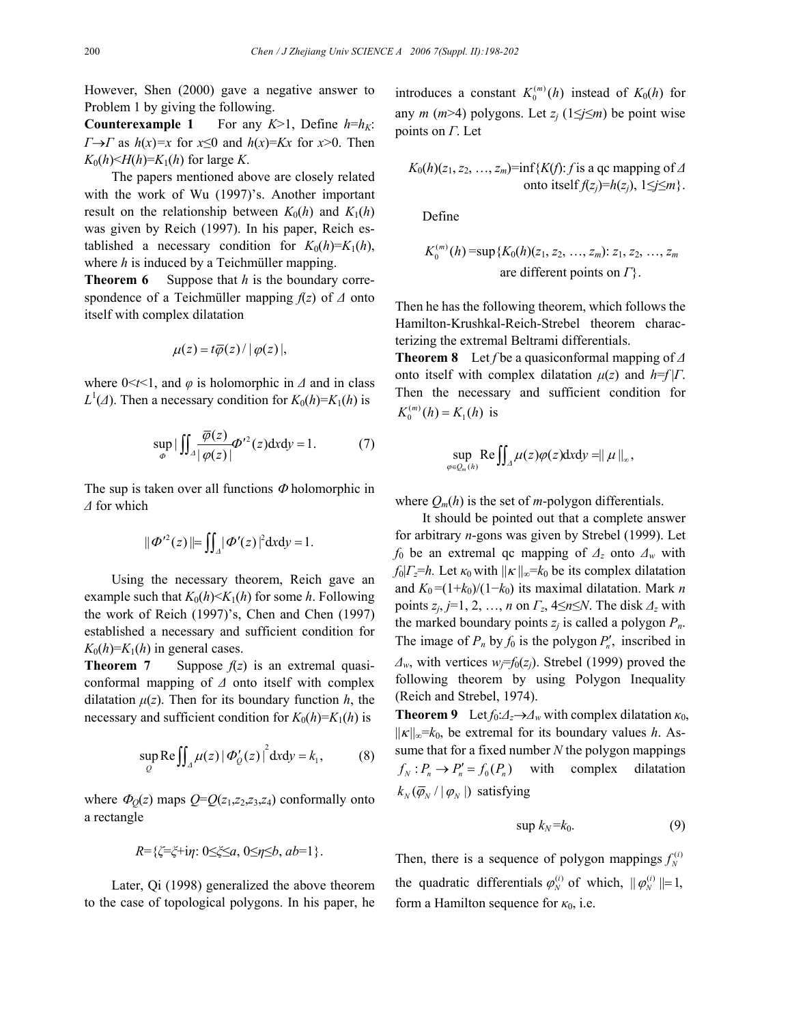However, Shen (2000) gave a negative answer to Problem 1 by giving the following.

**Counterexample 1** For any  $K>1$ , Define  $h=h<sub>K</sub>$ : *Γ*→*Γ* as *h*(*x*)=*x* for *x*≤0 and *h*(*x*)=*Kx* for *x*>0. Then  $K_0(h) \leq H(h) = K_1(h)$  for large *K*.

The papers mentioned above are closely related with the work of Wu (1997)'s. Another important result on the relationship between  $K_0(h)$  and  $K_1(h)$ was given by Reich (1997). In his paper, Reich established a necessary condition for  $K_0(h)=K_1(h)$ , where *h* is induced by a Teichmüller mapping.

**Theorem 6** Suppose that *h* is the boundary correspondence of a Teichmüller mapping *f*(*z*) of *∆* onto itself with complex dilatation

$$
\mu(z) = t\overline{\varphi}(z) / |\varphi(z)|,
$$

where  $0 \le t \le 1$ , and  $\varphi$  is holomorphic in  $\varDelta$  and in class  $L^1(\Lambda)$ . Then a necessary condition for  $K_0(h)=K_1(h)$  is

$$
\sup_{\phi} |\iint_{\Delta} \frac{\overline{\varphi}(z)}{|\varphi(z)|} \Phi'^2(z) \, \mathrm{d}x \, \mathrm{d}y = 1. \tag{7}
$$

The sup is taken over all functions  $\Phi$  holomorphic in *∆* for which

$$
\|\boldsymbol{\Phi}^{\prime 2}(z)\| = \iint_A |\boldsymbol{\Phi}^{\prime}(z)|^2 dxdy = 1.
$$

Using the necessary theorem, Reich gave an example such that  $K_0(h) \le K_1(h)$  for some *h*. Following the work of Reich (1997)'s, Chen and Chen (1997) established a necessary and sufficient condition for  $K_0(h)=K_1(h)$  in general cases.

**Theorem 7** Suppose  $f(z)$  is an extremal quasiconformal mapping of *∆* onto itself with complex dilatation  $\mu(z)$ . Then for its boundary function *h*, the necessary and sufficient condition for  $K_0(h)=K_1(h)$  is

$$
\sup_{Q} \text{Re} \iint_{\Delta} \mu(z) | \Phi'_{Q}(z) |^{2} dxdy = k_{1}, \quad (8)
$$

where  $\Phi_0(z)$  maps  $Q = Q(z_1, z_2, z_3, z_4)$  conformally onto a rectangle

$$
R = \{ \zeta = \xi + i\eta : 0 \le \xi \le a, 0 \le \eta \le b, ab = 1 \}.
$$

Later, Qi (1998) generalized the above theorem to the case of topological polygons. In his paper, he

introduces a constant  $K_0^{(m)}(h)$  instead of  $K_0(h)$  for any *m* (*m*>4) polygons. Let  $z_i$  (1≤*j*≤*m*) be point wise points on *Γ*. Let

$$
K_0(h)(z_1, z_2, ..., z_m)
$$
=inf{ $K(f)$ : f is a qc mapping of  $\Delta$   
onto itself  $f(z_j)=h(z_j)$ ,  $1\leq j\leq m$  }.

Define

$$
K_0^{(m)}(h)
$$
 = sup{ $K_0(h)(z_1, z_2, ..., z_m)$ :  $z_1, z_2, ..., z_m$   
are different points on  $\Gamma$  }.

Then he has the following theorem, which follows the Hamilton-Krushkal-Reich-Strebel theorem characterizing the extremal Beltrami differentials.

**Theorem 8** Let *f* be a quasiconformal mapping of *∆* onto itself with complex dilatation  $\mu(z)$  and  $h=f|\Gamma$ . Then the necessary and sufficient condition for  $K_0^{(m)}(h) = K_1(h)$  is

$$
\sup_{\varphi\in\mathcal{Q}_m(h)}\text{Re}\iint_{\Lambda}\mu(z)\varphi(z)\mathrm{d} x\mathrm{d} y=\parallel\mu\parallel_{\infty},
$$

where  $O_m(h)$  is the set of *m*-polygon differentials.

It should be pointed out that a complete answer for arbitrary *n*-gons was given by Strebel (1999). Let *f*0 be an extremal qc mapping of *∆z* onto *∆w* with  $f_0|_{\mathcal{F}}=h$ . Let  $\kappa_0$  with  $||\kappa||_{\infty}=k_0$  be its complex dilatation and  $K_0 = (1 + k_0)/(1 - k_0)$  its maximal dilatation. Mark *n* points *zj*, *j*=1, 2, …, *n* on *Γz*, 4≤*n*≤*N*. The disk *∆z* with the marked boundary points  $z_i$  is called a polygon  $P_n$ . The image of  $P_n$  by  $f_0$  is the polygon  $P'_n$ , inscribed in  $\Delta$ <sup>*w*</sup>, with vertices *w*<sub>*i*</sub>=*f*<sub>0</sub>(*z<sub>j</sub>*). Strebel (1999) proved the following theorem by using Polygon Inequality (Reich and Strebel, 1974).

**Theorem 9** Let  $f_0: \Delta_z \to \Delta_w$  with complex dilatation  $\kappa_0$ ,  $||\kappa||_{\infty} = k_0$ , be extremal for its boundary values *h*. Assume that for a fixed number *N* the polygon mappings  $f_N : P_n \to P'_n = f_0(P_n)$  with complex dilatation  $k_{N}(\overline{\varphi}_{N}/|\varphi_{N}|)$  satisfying

$$
\sup k_N = k_0. \tag{9}
$$

Then, there is a sequence of polygon mappings  $f_N^{(i)}$ the quadratic differentials  $\varphi_N^{(i)}$  of which,  $|| \varphi_N^{(i)} || = 1$ , form a Hamilton sequence for  $\kappa_0$ , i.e.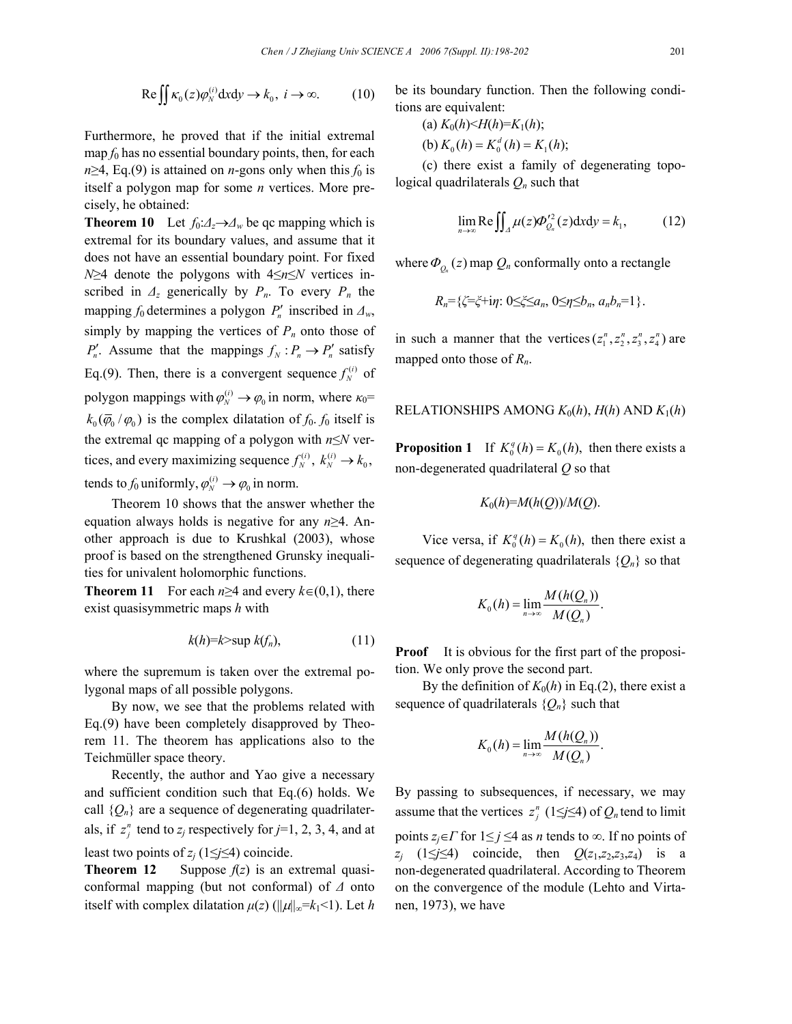$$
\text{Re}\iint \kappa_0(z)\varphi_N^{(i)} \, \mathrm{d}x \, \mathrm{d}y \to k_0, \ i \to \infty. \tag{10}
$$

Furthermore, he proved that if the initial extremal map  $f_0$  has no essential boundary points, then, for each  $n \geq 4$ , Eq.(9) is attained on *n*-gons only when this  $f_0$  is itself a polygon map for some *n* vertices. More precisely, he obtained:

**Theorem 10** Let  $f_0: \Delta_z \rightarrow \Delta_w$  be gc mapping which is extremal for its boundary values, and assume that it does not have an essential boundary point. For fixed *N*≥4 denote the polygons with 4≤*n*≤*N* vertices inscribed in  $\Delta_z$  generically by  $P_n$ . To every  $P_n$  the mapping  $f_0$  determines a polygon  $P'_n$  inscribed in  $\Delta_w$ , simply by mapping the vertices of  $P_n$  onto those of  $P'_n$ . Assume that the mappings  $f_N : P_n \to P'_n$  satisfy Eq.(9). Then, there is a convergent sequence  $f_N^{(i)}$  of polygon mappings with  $\varphi_N^{(i)} \to \varphi_0$  in norm, where  $\kappa_0$ =  $k_0(\overline{\varphi}_0/\varphi_0)$  is the complex dilatation of  $f_0$ .  $f_0$  itself is the extremal qc mapping of a polygon with *n*≤*N* vertices, and every maximizing sequence  $f_N^{(i)}$ ,  $k_N^{(i)} \rightarrow k_0$ , tends to  $f_0$  uniformly,  $\varphi_N^{(i)} \to \varphi_0$  in norm.

Theorem 10 shows that the answer whether the equation always holds is negative for any *n*≥4. Another approach is due to Krushkal (2003), whose proof is based on the strengthened Grunsky inequalities for univalent holomorphic functions.

**Theorem 11** For each  $n \geq 4$  and every  $k \in (0,1)$ , there exist quasisymmetric maps *h* with

$$
k(h)=k>\sup k(f_n),
$$
 (11)

where the supremum is taken over the extremal polygonal maps of all possible polygons.

By now, we see that the problems related with Eq.(9) have been completely disapproved by Theorem 11. The theorem has applications also to the Teichmüller space theory.

Recently, the author and Yao give a necessary and sufficient condition such that Eq.(6) holds. We call  $\{Q_n\}$  are a sequence of degenerating quadrilaterals, if  $z_j^n$  tend to  $z_j$  respectively for  $j=1, 2, 3, 4$ , and at least two points of  $z_i$  (1≤*j*≤4) coincide.

**Theorem 12** Suppose  $f(z)$  is an extremal quasiconformal mapping (but not conformal) of *∆* onto itself with complex dilatation  $\mu(z)$  ( $\|\mu\|_{\infty} = k_1 < 1$ ). Let h be its boundary function. Then the following conditions are equivalent:

(a) 
$$
K_0(h) < H(h) = K_1(h)
$$
;  
(b)  $K_0(h) = K_0^d(h) = K_1(h)$ ;

(c) there exist a family of degenerating topological quadrilaterals *Qn* such that

$$
\lim_{n \to \infty} \text{Re} \iint_{\Delta} \mu(z) \Phi_{Q_n}^{2^2}(z) dxdy = k_1, \tag{12}
$$

where  $\Phi_{O_n}(z)$  map  $Q_n$  conformally onto a rectangle

$$
R_n = \{ \zeta = \zeta + i\eta : 0 \leq \zeta \leq a_n, 0 \leq \eta \leq b_n, a_n b_n = 1 \}.
$$

in such a manner that the vertices  $(z_1^n, z_2^n, z_3^n, z_4^n)$  are mapped onto those of *Rn*.

### RELATIONSHIPS AMONG  $K_0(h)$ ,  $H(h)$  AND  $K_1(h)$

**Proposition 1** If  $K_0^q(h) = K_0(h)$ , then there exists a non-degenerated quadrilateral *Q* so that

$$
K_0(h)=M(h(Q))/M(Q).
$$

Vice versa, if  $K_0^q(h) = K_0(h)$ , then there exist a sequence of degenerating quadrilaterals  $\{Q_n\}$  so that

$$
K_0(h) = \lim_{n \to \infty} \frac{M(h(Q_n))}{M(Q_n)}.
$$

**Proof** It is obvious for the first part of the proposition. We only prove the second part.

By the definition of  $K_0(h)$  in Eq.(2), there exist a sequence of quadrilaterals {*Qn*} such that

$$
K_0(h) = \lim_{n \to \infty} \frac{M(h(Q_n))}{M(Q_n)}.
$$

By passing to subsequences, if necessary, we may assume that the vertices  $z_i^n$  (1≤*j*≤4) of  $Q_n$  tend to limit points  $z_i \in \Gamma$  for  $1 \leq j \leq 4$  as *n* tends to  $\infty$ . If no points of *zj* (1≤*j*≤4) coincide, then *Q*(*z*1,*z*2,*z*3,*z*4) is a non-degenerated quadrilateral. According to Theorem on the convergence of the module (Lehto and Virtanen, 1973), we have